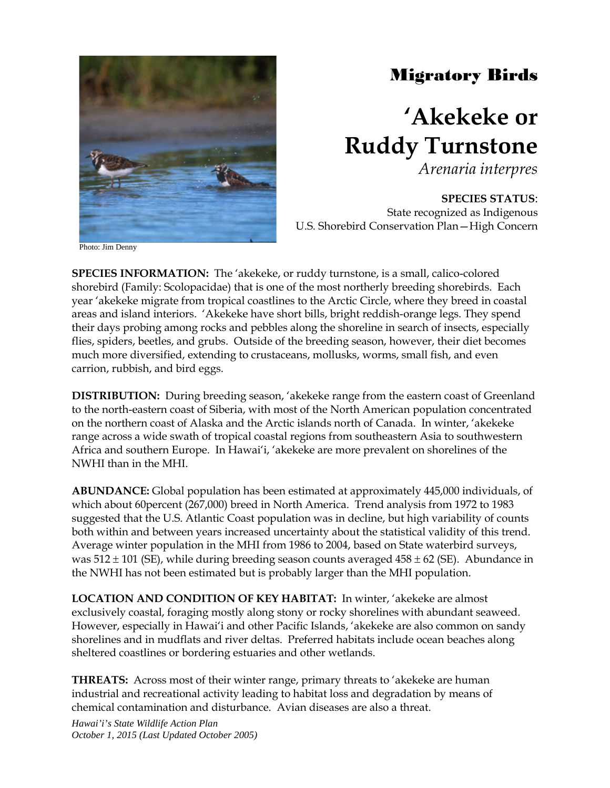

## Migratory Birds

## **'Akekeke or Ruddy Turnstone**

*Arenaria interpres*

**SPECIES STATUS**: State recognized as Indigenous U.S. Shorebird Conservation Plan—High Concern

Photo: Jim Denny

**SPECIES INFORMATION:** The 'akekeke, or ruddy turnstone, is a small, calico-colored shorebird (Family: Scolopacidae) that is one of the most northerly breeding shorebirds. Each year 'akekeke migrate from tropical coastlines to the Arctic Circle, where they breed in coastal areas and island interiors. 'Akekeke have short bills, bright reddish-orange legs. They spend their days probing among rocks and pebbles along the shoreline in search of insects, especially flies, spiders, beetles, and grubs. Outside of the breeding season, however, their diet becomes much more diversified, extending to crustaceans, mollusks, worms, small fish, and even carrion, rubbish, and bird eggs.

**DISTRIBUTION:** During breeding season, 'akekeke range from the eastern coast of Greenland to the north-eastern coast of Siberia, with most of the North American population concentrated on the northern coast of Alaska and the Arctic islands north of Canada. In winter, 'akekeke range across a wide swath of tropical coastal regions from southeastern Asia to southwestern Africa and southern Europe. In Hawai'i, 'akekeke are more prevalent on shorelines of the NWHI than in the MHI.

**ABUNDANCE:** Global population has been estimated at approximately 445,000 individuals, of which about 60percent (267,000) breed in North America. Trend analysis from 1972 to 1983 suggested that the U.S. Atlantic Coast population was in decline, but high variability of counts both within and between years increased uncertainty about the statistical validity of this trend. Average winter population in the MHI from 1986 to 2004, based on State waterbird surveys, was  $512 \pm 101$  (SE), while during breeding season counts averaged  $458 \pm 62$  (SE). Abundance in the NWHI has not been estimated but is probably larger than the MHI population.

**LOCATION AND CONDITION OF KEY HABITAT:** In winter, 'akekeke are almost exclusively coastal, foraging mostly along stony or rocky shorelines with abundant seaweed. However, especially in Hawai'i and other Pacific Islands, 'akekeke are also common on sandy shorelines and in mudflats and river deltas. Preferred habitats include ocean beaches along sheltered coastlines or bordering estuaries and other wetlands.

**THREATS:** Across most of their winter range, primary threats to 'akekeke are human industrial and recreational activity leading to habitat loss and degradation by means of chemical contamination and disturbance. Avian diseases are also a threat.

*Hawai'i's State Wildlife Action Plan October 1, 2015 (Last Updated October 2005)*